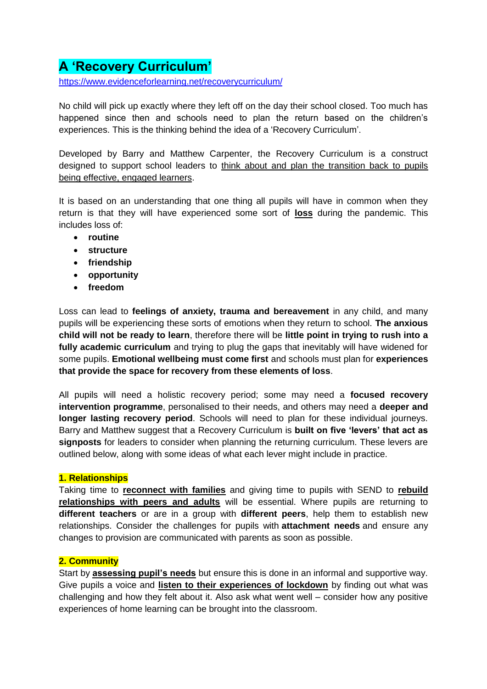# **A 'Recovery Curriculum'**

<https://www.evidenceforlearning.net/recoverycurriculum/>

No child will pick up exactly where they left off on the day their school closed. Too much has happened since then and schools need to plan the return based on the children's experiences. This is the thinking behind the idea of a ['Recovery Curriculum'](https://www.evidenceforlearning.net/recoverycurriculum/).

Developed by Barry and Matthew Carpenter, the Recovery Curriculum is a construct designed to support school leaders to think about and plan the transition back to pupils being effective, engaged learners.

It is based on an understanding that one thing all pupils will have in common when they return is that they will have experienced some sort of **loss** during the pandemic. This includes loss of:

- **routine**
- **structure**
- **friendship**
- **opportunity**
- **freedom**

Loss can lead to **feelings of anxiety, trauma and bereavement** in any child, and many pupils will be experiencing these sorts of emotions when they return to school. **The anxious child will not be ready to learn**, therefore there will be **little point in trying to rush into a fully academic curriculum** and trying to plug the gaps that inevitably will have widened for some pupils. **Emotional wellbeing must come first** and schools must plan for **experiences that provide the space for recovery from these elements of loss**.

All pupils will need a holistic recovery period; some may need a **focused recovery intervention programme**, personalised to their needs, and others may need a **deeper and longer lasting recovery period**. Schools will need to plan for these individual journeys. Barry and Matthew suggest that a Recovery Curriculum is **built on five 'levers' that act as signposts** for leaders to consider when planning the returning curriculum. These levers are outlined below, along with some ideas of what each lever might include in practice.

# **1. Relationships**

Taking time to **reconnect with families** and giving time to pupils with SEND to **rebuild relationships with peers and adults** will be essential. Where pupils are returning to **different teachers** or are in a group with **different peers**, help them to establish new relationships. Consider the challenges for pupils with **[attachment needs](https://my.optimus-education.com/node/22215)** and ensure any changes to provision are communicated with parents as soon as possible.

# **2. Community**

Start by **assessing pupil's needs** but ensure this is done in an informal and supportive way. Give pupils a voice and **listen to their experiences of lockdown** by finding out what was challenging and how they felt about it. Also ask what went well – consider how any positive experiences of home learning can be brought into the classroom.